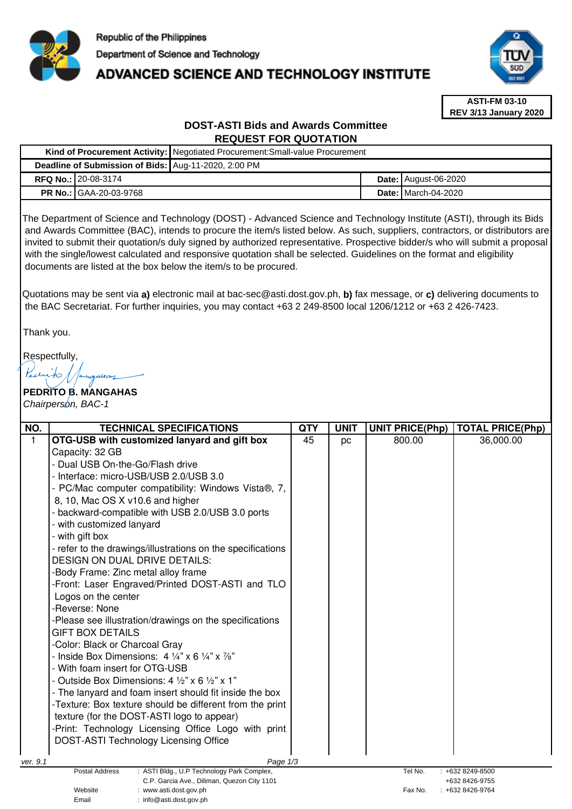

# **ADVANCED SCIENCE AND TECHNOLOGY INSTITUTE**



**ASTI-FM 03-10 REV 3/13 January 2020**

# **DOST-ASTI Bids and Awards Committee REQUEST FOR QUOTATION**

|  |                                                      | Kind of Procurement Activity: Negotiated Procurement: Small-value Procurement |  |                              |  |  |
|--|------------------------------------------------------|-------------------------------------------------------------------------------|--|------------------------------|--|--|
|  | Deadline of Submission of Bids: Aug-11-2020, 2:00 PM |                                                                               |  |                              |  |  |
|  | <b>RFQ No.: 20-08-3174</b>                           |                                                                               |  | <b>Date: August-06-2020</b>  |  |  |
|  | <b>PR No.: GAA-20-03-9768</b>                        |                                                                               |  | <b>Date:   March-04-2020</b> |  |  |

The Department of Science and Technology (DOST) - Advanced Science and Technology Institute (ASTI), through its Bids and Awards Committee (BAC), intends to procure the item/s listed below. As such, suppliers, contractors, or distributors are invited to submit their quotation/s duly signed by authorized representative. Prospective bidder/s who will submit a proposal with the single/lowest calculated and responsive quotation shall be selected. Guidelines on the format and eligibility documents are listed at the box below the item/s to be procured.

Quotations may be sent via **a)** electronic mail at bac-sec@asti.dost.gov.ph, **b)** fax message, or **c)** delivering documents to the BAC Secretariat. For further inquiries, you may contact +63 2 249-8500 local 1206/1212 or +63 2 426-7423.

Thank you.

Respectfully,

ngahay

**PEDRITO B. MANGAHAS**  Chairperson, BAC-1

Email : info@asti.dost.gov.ph

| NO.                                                                                                                 | <b>TECHNICAL SPECIFICATIONS</b>                                             | <b>QTY</b> | <b>UNIT</b> | <b>UNIT PRICE(Php)</b> | <b>TOTAL PRICE(Php)</b> |  |
|---------------------------------------------------------------------------------------------------------------------|-----------------------------------------------------------------------------|------------|-------------|------------------------|-------------------------|--|
| $\mathbf{1}$                                                                                                        | OTG-USB with customized lanyard and gift box                                | 45         | pc          | 800.00                 | 36,000.00               |  |
|                                                                                                                     | Capacity: 32 GB                                                             |            |             |                        |                         |  |
|                                                                                                                     | - Dual USB On-the-Go/Flash drive                                            |            |             |                        |                         |  |
|                                                                                                                     | - Interface: micro-USB/USB 2.0/USB 3.0                                      |            |             |                        |                         |  |
|                                                                                                                     | - PC/Mac computer compatibility: Windows Vista®, 7,                         |            |             |                        |                         |  |
|                                                                                                                     | 8, 10, Mac OS X v10.6 and higher                                            |            |             |                        |                         |  |
|                                                                                                                     | - backward-compatible with USB 2.0/USB 3.0 ports                            |            |             |                        |                         |  |
|                                                                                                                     | - with customized lanyard                                                   |            |             |                        |                         |  |
|                                                                                                                     | - with gift box                                                             |            |             |                        |                         |  |
|                                                                                                                     | - refer to the drawings/illustrations on the specifications                 |            |             |                        |                         |  |
|                                                                                                                     | <b>DESIGN ON DUAL DRIVE DETAILS:</b>                                        |            |             |                        |                         |  |
|                                                                                                                     | -Body Frame: Zinc metal alloy frame                                         |            |             |                        |                         |  |
|                                                                                                                     | -Front: Laser Engraved/Printed DOST-ASTI and TLO                            |            |             |                        |                         |  |
|                                                                                                                     | Logos on the center                                                         |            |             |                        |                         |  |
|                                                                                                                     | -Reverse: None                                                              |            |             |                        |                         |  |
|                                                                                                                     | -Please see illustration/drawings on the specifications                     |            |             |                        |                         |  |
|                                                                                                                     | GIFT BOX DETAILS                                                            |            |             |                        |                         |  |
|                                                                                                                     | -Color: Black or Charcoal Gray                                              |            |             |                        |                         |  |
|                                                                                                                     | - Inside Box Dimensions: $4\frac{1}{4}$ x 6 $\frac{1}{4}$ x $\frac{7}{8}$ " |            |             |                        |                         |  |
|                                                                                                                     | - With foam insert for OTG-USB                                              |            |             |                        |                         |  |
|                                                                                                                     | - Outside Box Dimensions: 4 $\frac{1}{2}$ " x 6 $\frac{1}{2}$ " x 1"        |            |             |                        |                         |  |
|                                                                                                                     | - The lanyard and foam insert should fit inside the box                     |            |             |                        |                         |  |
|                                                                                                                     | -Texture: Box texture should be different from the print                    |            |             |                        |                         |  |
|                                                                                                                     | texture (for the DOST-ASTI logo to appear)                                  |            |             |                        |                         |  |
|                                                                                                                     | -Print: Technology Licensing Office Logo with print                         |            |             |                        |                         |  |
|                                                                                                                     | <b>DOST-ASTI Technology Licensing Office</b>                                |            |             |                        |                         |  |
|                                                                                                                     |                                                                             |            |             |                        |                         |  |
| Page 1/3<br>ver. 9.1<br>Postal Address<br>: ASTI Bldg., U.P Technology Park Complex,<br>Tel No.<br>: +632 8249-8500 |                                                                             |            |             |                        |                         |  |
| C.P. Garcia Ave., Diliman, Quezon City 1101                                                                         |                                                                             |            |             |                        | +632 8426-9755          |  |
| Website<br>: www.asti.dost.gov.ph                                                                                   |                                                                             |            |             | Fax No.                | +632 8426-9764          |  |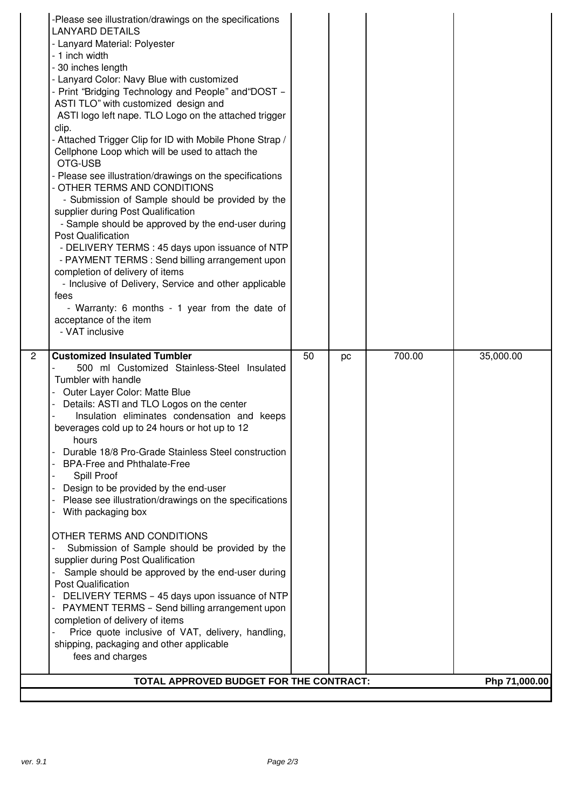| -Please see illustration/drawings on the specifications<br><b>LANYARD DETAILS</b><br>- Lanyard Material: Polyester<br>- 1 inch width<br>- 30 inches length<br>- Lanyard Color: Navy Blue with customized<br>- Print "Bridging Technology and People" and "DOST -<br>ASTI TLO" with customized design and<br>ASTI logo left nape. TLO Logo on the attached trigger<br>clip.<br>- Attached Trigger Clip for ID with Mobile Phone Strap /<br>Cellphone Loop which will be used to attach the<br>OTG-USB<br>- Please see illustration/drawings on the specifications<br>- OTHER TERMS AND CONDITIONS<br>- Submission of Sample should be provided by the<br>supplier during Post Qualification<br>- Sample should be approved by the end-user during<br><b>Post Qualification</b><br>- DELIVERY TERMS : 45 days upon issuance of NTP<br>- PAYMENT TERMS : Send billing arrangement upon<br>completion of delivery of items<br>- Inclusive of Delivery, Service and other applicable<br>fees<br>- Warranty: 6 months - 1 year from the date of<br>acceptance of the item<br>- VAT inclusive |                                         |    |    |        |               |
|----------------------------------------------------------------------------------------------------------------------------------------------------------------------------------------------------------------------------------------------------------------------------------------------------------------------------------------------------------------------------------------------------------------------------------------------------------------------------------------------------------------------------------------------------------------------------------------------------------------------------------------------------------------------------------------------------------------------------------------------------------------------------------------------------------------------------------------------------------------------------------------------------------------------------------------------------------------------------------------------------------------------------------------------------------------------------------------|-----------------------------------------|----|----|--------|---------------|
| 2<br><b>Customized Insulated Tumbler</b><br>500 ml Customized Stainless-Steel Insulated<br>Tumbler with handle<br>Outer Layer Color: Matte Blue<br>Details: ASTI and TLO Logos on the center<br>Insulation eliminates condensation and keeps<br>beverages cold up to 24 hours or hot up to 12<br>hours<br>Durable 18/8 Pro-Grade Stainless Steel construction<br><b>BPA-Free and Phthalate-Free</b><br>Spill Proof<br>Design to be provided by the end-user<br>Please see illustration/drawings on the specifications<br>With packaging box<br>OTHER TERMS AND CONDITIONS<br>Submission of Sample should be provided by the<br>supplier during Post Qualification<br>Sample should be approved by the end-user during<br><b>Post Qualification</b><br>DELIVERY TERMS - 45 days upon issuance of NTP<br>PAYMENT TERMS - Send billing arrangement upon<br>completion of delivery of items<br>Price quote inclusive of VAT, delivery, handling,                                                                                                                                           |                                         | 50 | pc | 700.00 | 35,000.00     |
| shipping, packaging and other applicable<br>fees and charges                                                                                                                                                                                                                                                                                                                                                                                                                                                                                                                                                                                                                                                                                                                                                                                                                                                                                                                                                                                                                           | TOTAL APPROVED BUDGET FOR THE CONTRACT: |    |    |        | Php 71,000.00 |